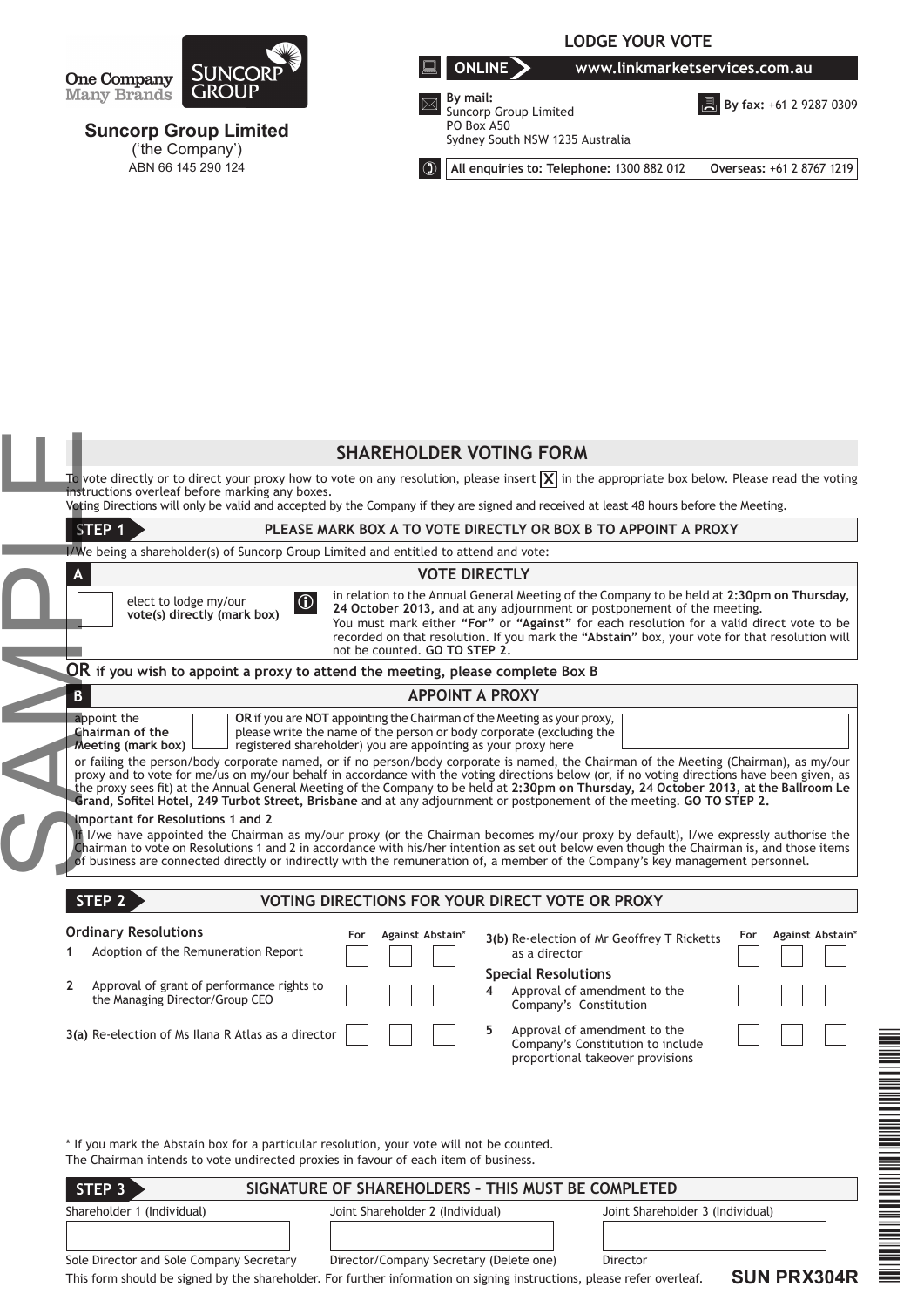

**Suncorp Group Limited** ('the Company') ABN 66 145 290 124

# **LODGE YOUR VOTE**

**ONLINE www.linkmarketservices.com.au**

 **By mail:** Suncorp Group Limited PO Box A50 Sydney South NSW 1235 Australia

**B** By fax: +61 2 9287 0309

**All enquiries to: Telephone:** 1300 882 012 **Overseas:** +61 2 8767 1219

|                                                                                                                                                                                                                                                                                                                                                                                                                               | <b>SHAREHOLDER VOTING FORM</b>                                                                                                                                                                                                                                                                                                                                                                                                                                                                                                                                 |  |  |                                                                      |                                                                                                                                                                                                                                                                                                                                                                                                                                                                                                                                                                                                                                                                                                                                                                                                                                                                              |  |  |  |
|-------------------------------------------------------------------------------------------------------------------------------------------------------------------------------------------------------------------------------------------------------------------------------------------------------------------------------------------------------------------------------------------------------------------------------|----------------------------------------------------------------------------------------------------------------------------------------------------------------------------------------------------------------------------------------------------------------------------------------------------------------------------------------------------------------------------------------------------------------------------------------------------------------------------------------------------------------------------------------------------------------|--|--|----------------------------------------------------------------------|------------------------------------------------------------------------------------------------------------------------------------------------------------------------------------------------------------------------------------------------------------------------------------------------------------------------------------------------------------------------------------------------------------------------------------------------------------------------------------------------------------------------------------------------------------------------------------------------------------------------------------------------------------------------------------------------------------------------------------------------------------------------------------------------------------------------------------------------------------------------------|--|--|--|
|                                                                                                                                                                                                                                                                                                                                                                                                                               | To vote directly or to direct your proxy how to vote on any resolution, please insert $ \overline{\mathsf{X}} $ in the appropriate box below. Please read the voting<br>instructions overleaf before marking any boxes.<br>Voting Directions will only be valid and accepted by the Company if they are signed and received at least 48 hours before the Meeting.                                                                                                                                                                                              |  |  |                                                                      |                                                                                                                                                                                                                                                                                                                                                                                                                                                                                                                                                                                                                                                                                                                                                                                                                                                                              |  |  |  |
| STEP <sub>1</sub><br>PLEASE MARK BOX A TO VOTE DIRECTLY OR BOX B TO APPOINT A PROXY                                                                                                                                                                                                                                                                                                                                           |                                                                                                                                                                                                                                                                                                                                                                                                                                                                                                                                                                |  |  |                                                                      |                                                                                                                                                                                                                                                                                                                                                                                                                                                                                                                                                                                                                                                                                                                                                                                                                                                                              |  |  |  |
|                                                                                                                                                                                                                                                                                                                                                                                                                               | I/We being a shareholder(s) of Suncorp Group Limited and entitled to attend and vote:                                                                                                                                                                                                                                                                                                                                                                                                                                                                          |  |  |                                                                      |                                                                                                                                                                                                                                                                                                                                                                                                                                                                                                                                                                                                                                                                                                                                                                                                                                                                              |  |  |  |
|                                                                                                                                                                                                                                                                                                                                                                                                                               | <b>VOTE DIRECTLY</b><br>A                                                                                                                                                                                                                                                                                                                                                                                                                                                                                                                                      |  |  |                                                                      |                                                                                                                                                                                                                                                                                                                                                                                                                                                                                                                                                                                                                                                                                                                                                                                                                                                                              |  |  |  |
|                                                                                                                                                                                                                                                                                                                                                                                                                               | in relation to the Annual General Meeting of the Company to be held at 2:30pm on Thursday,<br>$ 0\rangle$<br>elect to lodge my/our<br>24 October 2013, and at any adjournment or postponement of the meeting.<br>vote(s) directly (mark box)<br>You must mark either "For" or "Against" for each resolution for a valid direct vote to be<br>recorded on that resolution. If you mark the "Abstain" box, your vote for that resolution will<br>not be counted. GO TO STEP 2.                                                                                   |  |  |                                                                      |                                                                                                                                                                                                                                                                                                                                                                                                                                                                                                                                                                                                                                                                                                                                                                                                                                                                              |  |  |  |
| $\overline{\mathsf{OR}}$ if you wish to appoint a proxy to attend the meeting, please complete Box B<br><b>APPOINT A PROXY</b><br>B<br>appoint the<br><b>OR</b> if you are <b>NOT</b> appointing the Chairman of the Meeting as your proxy,<br>Chairman of the<br>please write the name of the person or body corporate (excluding the<br>Meeting (mark box)<br>registered shareholder) you are appointing as your proxy here |                                                                                                                                                                                                                                                                                                                                                                                                                                                                                                                                                                |  |  |                                                                      |                                                                                                                                                                                                                                                                                                                                                                                                                                                                                                                                                                                                                                                                                                                                                                                                                                                                              |  |  |  |
|                                                                                                                                                                                                                                                                                                                                                                                                                               |                                                                                                                                                                                                                                                                                                                                                                                                                                                                                                                                                                |  |  |                                                                      | proxy and to vote for me/us on my/our behalf in accordance with the voting directions below (or, if no voting directions have been given, as<br>the proxy sees fit) at the Annual General Meeting of the Company to be held at 2:30pm on Thursday, 24 October 2013, at the Ballroom Le<br>Grand, Sofitel Hotel, 249 Turbot Street, Brisbane and at any adjournment or postponement of the meeting. GO TO STEP 2.<br>Important for Resolutions 1 and 2<br>If I/we have appointed the Chairman as my/our proxy (or the Chairman becomes my/our proxy by default), I/we expressly authorise the<br>Chairman to vote on Resolutions 1 and 2 in accordance with his/her intention as set out below even though the Chairman is, and those items<br>of business are connected directly or indirectly with the remuneration of, a member of the Company's key management personnel. |  |  |  |
|                                                                                                                                                                                                                                                                                                                                                                                                                               |                                                                                                                                                                                                                                                                                                                                                                                                                                                                                                                                                                |  |  | STEP <sub>2</sub><br>VOTING DIRECTIONS FOR YOUR DIRECT VOTE OR PROXY |                                                                                                                                                                                                                                                                                                                                                                                                                                                                                                                                                                                                                                                                                                                                                                                                                                                                              |  |  |  |
|                                                                                                                                                                                                                                                                                                                                                                                                                               | <b>Ordinary Resolutions</b><br>Against Abstain*<br>For<br>Against Abstain*<br>For<br>3(b) Re-election of Mr Geoffrey T Ricketts<br>Adoption of the Remuneration Report<br>1<br>as a director<br><b>Special Resolutions</b><br>Approval of grant of performance rights to<br>$\mathbf{2}$<br>Approval of amendment to the<br>4<br>the Managing Director/Group CEO<br>Company's Constitution<br>5<br>Approval of amendment to the<br>3(a) Re-election of Ms Ilana R Atlas as a director<br>Company's Constitution to include<br>proportional takeover provisions |  |  |                                                                      |                                                                                                                                                                                                                                                                                                                                                                                                                                                                                                                                                                                                                                                                                                                                                                                                                                                                              |  |  |  |
|                                                                                                                                                                                                                                                                                                                                                                                                                               | * If you mark the Abstain box for a particular resolution, your vote will not be counted.                                                                                                                                                                                                                                                                                                                                                                                                                                                                      |  |  |                                                                      |                                                                                                                                                                                                                                                                                                                                                                                                                                                                                                                                                                                                                                                                                                                                                                                                                                                                              |  |  |  |

| SIGNATURE OF SHAREHOLDERS - THIS MUST BE COMPLETED<br>STEP 3 |                                                                                                                      |                                  |  |
|--------------------------------------------------------------|----------------------------------------------------------------------------------------------------------------------|----------------------------------|--|
| Shareholder 1 (Individual)                                   | Joint Shareholder 2 (Individual)                                                                                     | Joint Shareholder 3 (Individual) |  |
|                                                              |                                                                                                                      |                                  |  |
|                                                              |                                                                                                                      |                                  |  |
| Sole Director and Sole Company Secretary                     | Director/Company Secretary (Delete one)                                                                              | Director                         |  |
|                                                              | This farm shauld ha sixoad bu tha shorabaldar. Far furthar information an sixoinx instructions, planse refer oughanf | CIIN DDV204D                     |  |

This form should be signed by the shareholder. For further information on signing instructions, please refer overleaf.

**SUN PRX304R**

\*SUN PRAY PRODUCT PRODUCT PRODUCT PRODUCT